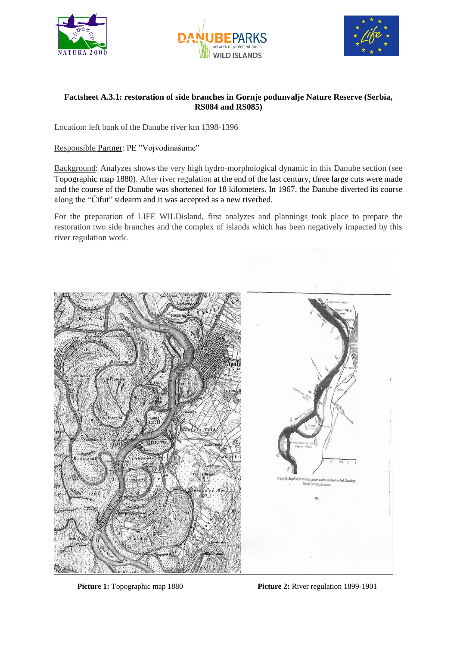





## **Factsheet A.3.1: restoration of side branches in Gornje podunvalje Nature Reserve (Serbia, RS084 and RS085)**

Location: left bank of the Danube river km 1398-1396

## Responsible Partner: PE "Vojvodinašume"

Background: Analyzes shows the very high hydro-morphological dynamic in this Danube section (see Topographic map 1880). After river regulation at the end of the last century, three large cuts were made and the course of the Danube was shortened for 18 kilometers. In 1967, the Danube diverted its course along the "Čifut" sidearm and it was accepted as a new riverbed.

For the preparation of LIFE WILDisland, first analyzes and plannings took place to prepare the restoration two side branches and the complex of islands which has been negatively impacted by this river regulation work.



**Picture 1:** Topographic map 1880 **Picture 2:** River regulation 1899-1901